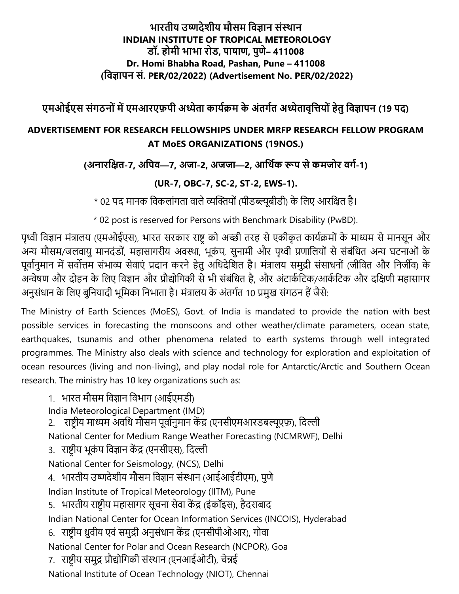#### भारतीय उष्णदेशीय मौसम विज्ञान संस्थान **INDIAN INSTITUTE OF TROPICAL METEOROLOGY . , , – 411008 Dr. Homi Bhabha Road, Pashan, Pune – 411008 ( . PER/02/2022) (Advertisement No. PER/02/2022)**

# एमओईएस संगठनों में एमआरएफ़पी अध्येता कार्यक्रम के अंतर्गत अध्येतावत्तियों हेत विज्ञापन (19 पद)

## **ADVERTISEMENT FOR RESEARCH FELLOWSHIPS UNDER MRFP RESEARCH FELLOW PROGRAM AT MoES ORGANIZATIONS (19NOS.)**

# **( -7, —7, -2, —2, -1)**

# **(UR-7, OBC-7, SC-2, ST-2, EWS-1).**

\* 02 पद मानक विकलांगता वाले व्यक्तियों (पीडब्ल्यूबीडी) के लिए आरक्षित है।

\* 02 post is reserved for Persons with Benchmark Disability (PwBD).

पृथ्वी विज्ञान मंत्रालय (एमओईएस), भारत सरकार राष्ट्र को अच्छी तरह से एकीकृत कार्यक्रमों के माध्यम से मानसून और अन्य मौसम/जलवायु मानदंडों, महासागरीय अवस्था, भूकंप, सुनामी और पृथ्वी प्रणालियों से संबंधित अन्य घटनाओं के पूर्वानुमान में सर्वोत्तम संभाव्य सेवाएं प्रदान करने हेतु अधिदेशित है। मंत्रालय समुद्री संसाधनों (जीवित और निर्जीव) के अन्वेषण और दोहन के लिए विज्ञान और प्रौद्योगिकी से भी संबंधित है, और अंटार्कटिक/आर्कटिक और दक्षिणी महासागर अनुसंधान के लिए बुनियादी भूमिका निभाता है। मंत्रालय के अंतर्गत 10 प्रमुख संगठन हैं जैसे:

The Ministry of Earth Sciences (MoES), Govt. of India is mandated to provide the nation with best possible services in forecasting the monsoons and other weather/climate parameters, ocean state, earthquakes, tsunamis and other phenomena related to earth systems through well integrated programmes. The Ministry also deals with science and technology for exploration and exploitation of ocean resources (living and non-living), and play nodal role for Antarctic/Arctic and Southern Ocean research. The ministry has 10 key organizations such as:

1. भारत मौसम विज्ञान विभाग (आईएमडी) India Meteorological Department (IMD) 2. राष्ट्रीय माध्यम अवधि मौसम पूर्वानुमान केंद्र (एनसीएमआरडबल्यूएफ़), दिल्ली National Center for Medium Range Weather Forecasting (NCMRWF), Delhi 3. राष्ट्रीय भूकंप विज्ञान केंद्र (एनसीएस), दिल्ली National Center for Seismology, (NCS), Delhi 4. भारतीय उष्णदेशीय मौसम विज्ञान संस्थान (आईआईटीएम), पुणे Indian Institute of Tropical Meteorology (IITM), Pune 5. भारतीय राष्ट्रीय महासागर सूचना सेवा केंद्र (इंकॉइस), हैदराबाद Indian National Center for Ocean Information Services (INCOIS), Hyderabad 6. राष्ट्रीय ध्रुवीय एवं समुद्री अनुसंधान केंद्र (एनसीपीओआर), गोवा National Center for Polar and Ocean Research (NCPOR), Goa 7. राष्ट्रीय समुद्र प्रौद्योगिकी संस्थान (एनआईओटी), चेन्नई National Institute of Ocean Technology (NIOT), Chennai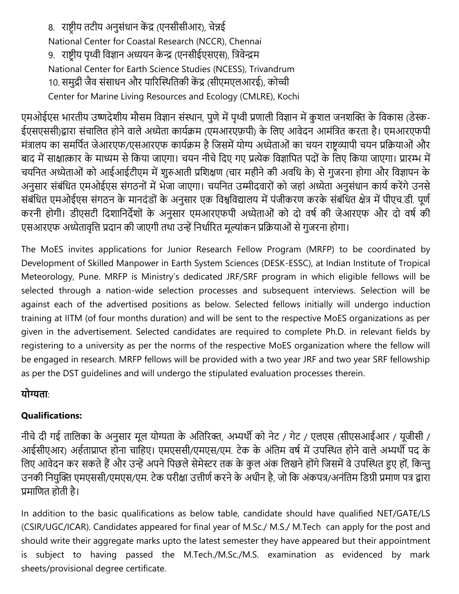8. राष्ट्रीय तटीय अनुसंधान केंद्र (एनसीसीआर), चेन्नई National Center for Coastal Research (NCCR), Chennai 9. राष्ट्रीय पृथ्वी विज्ञान अध्ययन केन्द्र (एनसीईएसएस), वत्रिेन्द्रम National Center for Earth Science Studies (NCESS), Trivandrum 10. समुद्री जैव संसाधन और पारिस्थितिकी केंद्र (सीएमएलआरई), कोच्ची Center for Marine Living Resources and Ecology (CMLRE), Kochi

एमओईएस भारतीय उष्णदेशीय मौसम विज्ञान संस्थान, पुणे में पृथ्वी प्रणाली विज्ञान में कुशल जनशक्ति के विकास (डेस्क-ईएसएससी)द्वारा संचालित होने वाले अध्येता कार्यक्रम (एमआरएफ़पी) के लिए आवेदन आमंत्रित करता है। एमआरएफपी मंत्रालय का समर्पित जेआरएफ/एसआरएफ कार्यक्रम है जिसमें योग्य अध्येताओं का चयन राष्ट्रव्यापी चयन प्रक्रियाओं और बाद में साक्षात्कार के माध्यम से किया जाएगा। चयन नीचे दिए गए प्रत्येक विज्ञापित पदों के लिए किया जाएगा। प्रारम्भ में चयनित अध्येताओं को आईआईटीएम में शुरुआती प्रशिक्षण (चार महीने की अवधि के) से गुजरना होगा और विज्ञापन के अनुसार संबंधित एमओईएस संगठनों में भेजा जाएगा। चयनित उम्मीदवारों को जहां अध्येता अनुसंधान कार्य करेंगे उनसे संबंधित एमओईएस संगठन के मानदंडों के अनुसार एक विश्वविद्यालय में पंजीकरण करके संबंधित क्षेत्र में पीएच.डी. पूर्ण करनी होगी। डीएसटी दिशानिर्देशों के अनुसार एमआरएफपी अध्येताओं को दो वर्ष की जेआरएफ और दो वर्ष की एसआरएफ अध्येतावृत्ति प्रदान की जाएगी तथा उन्हें निर्धारित मूल्यांकन प्रक्रियाओं से गुजरना होगा।

The MoES invites applications for Junior Research Fellow Program (MRFP) to be coordinated by Development of Skilled Manpower in Earth System Sciences (DESK-ESSC), at Indian Institute of Tropical Meteorology, Pune. MRFP is Ministry's dedicated JRF/SRF program in which eligible fellows will be selected through a nation-wide selection processes and subsequent interviews. Selection will be against each of the advertised positions as below. Selected fellows initially will undergo induction training at IITM (of four months duration) and will be sent to the respective MoES organizations as per given in the advertisement. Selected candidates are required to complete Ph.D. in relevant fields by registering to a university as per the norms of the respective MoES organization where the fellow will be engaged in research. MRFP fellows will be provided with a two year JRF and two year SRF fellowship as per the DST guidelines and will undergo the stipulated evaluation processes therein.

#### योग्यता<sup>.</sup>

## **Qualifications:**

नीचे दी गई तालिका के अनुसार मूल योग्यता के अतिरिक्त, अभ्यर्थी को नेट / गेट / एलएस (सीएसआईआर / यूजीसी / आईसीएआर) अर्हताप्राप्त होना चाहिए। एमएससी/एमएस/एम. टेक के अंतिम वर्ष में उपस्थित होने वाले अभ्यर्थी पद के विए आवेदन कर सकते हैं और उन्हें अपने पिछले सेमेस्टर तक के कुल अंक लिखने होंगे जिसमें वे उपस्थित हुए हों, किन्तु उनकी नियुक्ति एमएससी/एमएस/एम. टेक परीक्षा उत्तीर्ण करने के अधीन है, जो कि अंकपत्र/अनंतिम डिग्री प्रमाण पत्र द्वारा प्रमाणित होती है।

In addition to the basic qualifications as below table, candidate should have qualified NET/GATE/LS (CSIR/UGC/ICAR). Candidates appeared for final year of M.Sc./ M.S./ M.Tech can apply for the post and should write their aggregate marks upto the latest semester they have appeared but their appointment is subject to having passed the M.Tech./M.Sc./M.S. examination as evidenced by mark sheets/provisional degree certificate.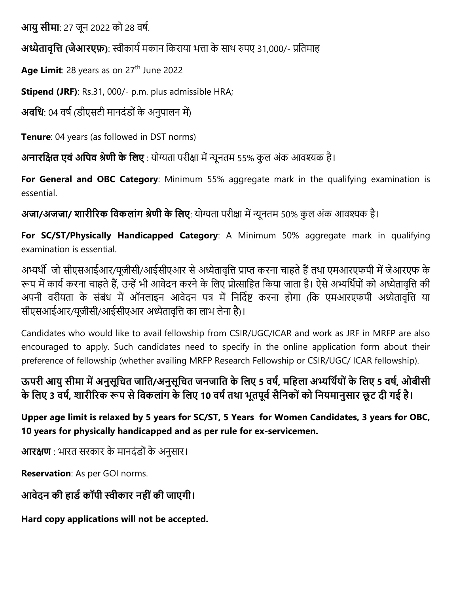**आयु सीमा**: 27 जून 2022 को 28 वर्ष.

 **( ए )**: स्वीकायय मकान वकराया भत्ता के साथ रुपए 31,000/- प्रवतमाह

Age Limit: 28 years as on 27<sup>th</sup> June 2022

**Stipend (JRF)**: Rs.31, 000/- p.m. plus admissible HRA;

**अवधि**: 04 वर्ष (डीएसटी मानदंडों के अनुपालन में)

**Tenure**: 04 years (as followed in DST norms)

**अनारक्षित एवं अपिव श्रेणी के लिए** : योग्यता परीक्षा में न्यूनतम 55% कुल अंक आवश्यक है।

**For General and OBC Category**: Minimum 55% aggregate mark in the qualifying examination is essential.

 **/ / ए**: य ग्यता परीिा में न्यूनतम 50% कु ल अांक आिश्यक है।

For **SC/ST/Physically Handicapped Category**: A Minimum 50% aggregate mark in qualifying examination is essential.

अभ्यर्थी जो सीएसआईआर/यूजीसी/आईसीएआर से अध्येतावृत्ति प्राप्त करना चाहते हैं तथा एमआरएफपी में जेआरएफ के रूप में कार्य करना चाहते हैं, उन्हें भी आवेदन करने के लिए प्रोत्साहित किया जाता है। ऐसे अभ्यर्थियों को अध्येतावृत्ति की अपनी वरीयता के संबंध में ऑनलाइन आवेदन पत्र में निर्दिष्ट करना होगा (कि एमआरएफपी अध्येतावृत्ति या सीएसआईआर/यूजीसी/आईसीएआर अध्येतावृत्ति का लाभ लेना है)।

Candidates who would like to avail fellowship from CSIR/UGC/ICAR and work as JRF in MRFP are also encouraged to apply. Such candidates need to specify in the online application form about their preference of fellowship (whether availing MRFP Research Fellowship or CSIR/UGC/ ICAR fellowship).

 **/ ए 5 , ए 5 , ओ**  के लिए 3 वर्ष, शारीरिक रूप से विकलांग के लिए 10 वर्ष तथा भूतपूर्व सैनिकों को नियमानुसार छूट दी गई है।

**Upper age limit is relaxed by 5 years for SC/ST, 5 Years for Women Candidates, 3 years for OBC, 10 years for physically handicapped and as per rule for ex-servicemen.**

**आरक्षण** : भारत सरकार के मानदंडों के अनुसार।

**Reservation**: As per GOI norms.

आवेदन की हार्ड कॉपी स्वीकार नहीं की जाएगी।

**Hard copy applications will not be accepted.**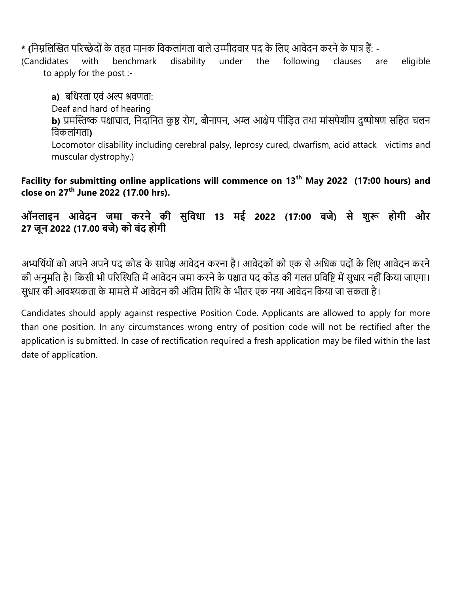\* (निम्नलिखित परिच्छेदों के तहत मानक विकलांगता वाले उम्मीदवार पद के लिए आवेदन करने के पात्र हैं: -

(Candidates with benchmark disability under the following clauses are eligible to apply for the post :-

**a)** बधिरता एवं अल्प श्रवणता:

Deaf and hard of hearing

**b)** प्रमस्तिष्क पक्षाघात, निदानित कुष्ठ रोग, बौनापन, अम्ल आक्षेप पीड़ित तथा मांसपेशीय दुष्पोषण सहित चलन विकलाांगता**)**

Locomotor disability including cerebral palsy, leprosy cured, dwarfism, acid attack victims and muscular dystrophy.)

**Facility for submitting online applications will commence on 13th May 2022 (17:00 hours) and close on 27th June 2022 (17.00 hrs).** 

 **13 ई 2022 (17:00 ) औ**  27 जून 2022 (17.00 बजे) को बंद होगी

अभ्यर्थियों को अपने अपने पद कोड के सापेक्ष आवेदन करना है। आवेदकों को एक से अधिक पदों के लिए आवेदन करने की अनुमति है। किसी भी परिस्थिति में आवेदन जमा करने के पश्चात पद कोड की गलत प्रविष्टि में सुधार नहीं किया जाएगा। सुधार की आवश्यकता के मामले में आवेदन की अंतिम तिथि के भीतर एक नया आवेदन किया जा सकता है।

Candidates should apply against respective Position Code. Applicants are allowed to apply for more than one position. In any circumstances wrong entry of position code will not be rectified after the application is submitted. In case of rectification required a fresh application may be filed within the last date of application.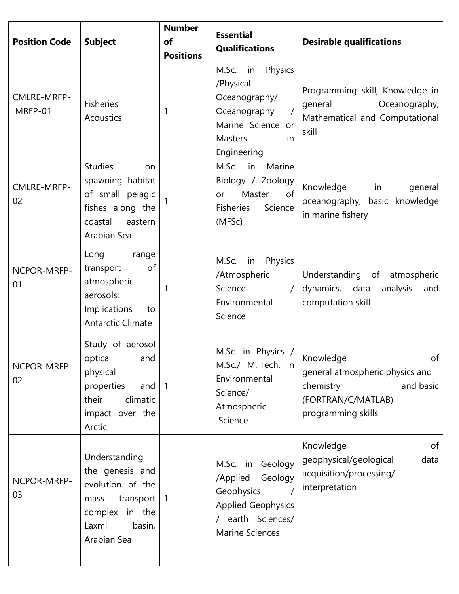| <b>Position Code</b>   | <b>Subject</b>                                                                                                                | <b>Number</b><br>of<br><b>Positions</b> | <b>Essential</b><br><b>Qualifications</b>                                                                                            | <b>Desirable qualifications</b>                                                                                           |
|------------------------|-------------------------------------------------------------------------------------------------------------------------------|-----------------------------------------|--------------------------------------------------------------------------------------------------------------------------------------|---------------------------------------------------------------------------------------------------------------------------|
| CMLRE-MRFP-<br>MRFP-01 | <b>Fisheries</b><br>Acoustics                                                                                                 | 1                                       | M.Sc.<br>in Physics<br>/Physical<br>Oceanography/<br>Oceanography<br>Marine Science or<br><b>Masters</b><br><i>in</i><br>Engineering | Programming skill, Knowledge in<br>general<br>Oceanography,<br>Mathematical and Computational<br>skill                    |
| CMLRE-MRFP-<br>02      | <b>Studies</b><br>on<br>spawning habitat<br>of small pelagic<br>fishes along the<br>coastal<br>eastern<br>Arabian Sea.        |                                         | Marine<br>M.Sc. in<br>Biology / Zoology<br>of<br>Master<br>or<br>Fisheries<br>Science<br>(MFSc)                                      | Knowledge in<br>general<br>oceanography, basic knowledge<br>in marine fishery                                             |
| NCPOR-MRFP-<br>01      | Long<br>range<br>of<br>transport<br>atmospheric<br>aerosols:<br>Implications<br>to<br><b>Antarctic Climate</b>                | 1                                       | Physics<br>M.Sc. in<br>/Atmospheric<br>Science<br>Environmental<br>Science                                                           | Understanding of atmospheric<br>dynamics, data<br>analysis<br>and<br>computation skill                                    |
| NCPOR-MRFP-<br>02      | Study of aerosol<br>optical and<br>physical<br>properties<br>and<br>climatic<br>their<br>impact over the<br>Arctic            | $\vert$ 1                               | M.Sc. in Physics /<br>M.Sc./ M. Tech. in<br>Environmental<br>Science/<br>Atmospheric<br>Science                                      | Knowledge<br>of<br>general atmospheric physics and<br>and basic<br>chemistry;<br>(FORTRAN/C/MATLAB)<br>programming skills |
| NCPOR-MRFP-<br>03      | Understanding<br>the genesis and<br>evolution of the<br>transport<br>mass<br>complex in the<br>Laxmi<br>basin,<br>Arabian Sea | $\vert$ 1                               | M.Sc. in Geology<br>/Applied<br>Geology<br>Geophysics<br><b>Applied Geophysics</b><br>/ earth Sciences/<br><b>Marine Sciences</b>    | Knowledge<br>of<br>geophysical/geological<br>data<br>acquisition/processing/<br>interpretation                            |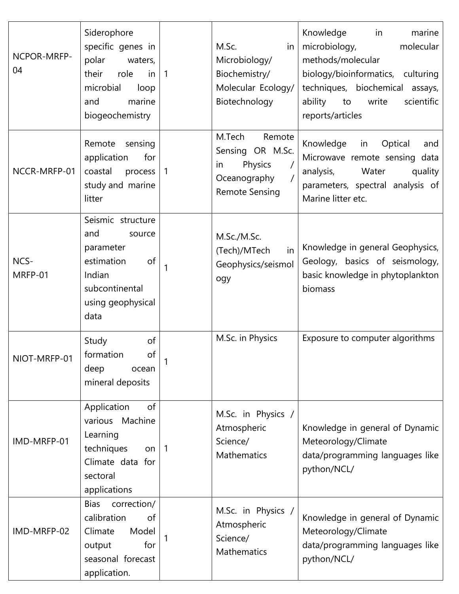| NCPOR-MRFP-<br>04 | Siderophore<br>specific genes in<br>polar<br>waters,<br>their<br>role<br>in<br>microbial<br>loop<br>marine<br>and<br>biogeochemistry | $\overline{1}$ | M.Sc.<br>in<br>Microbiology/<br>Biochemistry/<br>Molecular Ecology/<br>Biotechnology           | Knowledge<br>in<br>marine<br>microbiology,<br>molecular<br>methods/molecular<br>biology/bioinformatics, culturing<br>techniques, biochemical assays,<br>ability<br>write<br>to<br>scientific<br>reports/articles |
|-------------------|--------------------------------------------------------------------------------------------------------------------------------------|----------------|------------------------------------------------------------------------------------------------|------------------------------------------------------------------------------------------------------------------------------------------------------------------------------------------------------------------|
| NCCR-MRFP-01      | Remote<br>sensing<br>application<br>for<br>coastal<br>process<br>study and marine<br>litter                                          | 1              | M.Tech<br>Remote<br>Sensing OR M.Sc.<br>Physics<br>in<br>Oceanography<br><b>Remote Sensing</b> | Knowledge<br>Optical<br>in<br>and<br>Microwave remote sensing data<br>Water<br>analysis,<br>quality<br>parameters, spectral analysis of<br>Marine litter etc.                                                    |
| NCS-<br>MRFP-01   | Seismic structure<br>and<br>source<br>parameter<br>estimation<br>of<br>Indian<br>subcontinental<br>using geophysical<br>data         | $\mathbf{1}$   | M.Sc./M.Sc.<br>(Tech)/MTech<br>in<br>Geophysics/seismol<br>ogy                                 | Knowledge in general Geophysics,<br>Geology, basics of seismology,<br>basic knowledge in phytoplankton<br>biomass                                                                                                |
| NIOT-MRFP-01      | Study<br>of<br>of<br>formation<br>deep<br>ocean<br>mineral deposits                                                                  |                | M.Sc. in Physics                                                                               | Exposure to computer algorithms                                                                                                                                                                                  |
| IMD-MRFP-01       | Application<br>of<br>various Machine<br>Learning<br>techniques<br>on $ 1$<br>Climate data for<br>sectoral<br>applications            |                | M.Sc. in Physics /<br>Atmospheric<br>Science/<br>Mathematics                                   | Knowledge in general of Dynamic<br>Meteorology/Climate<br>data/programming languages like<br>python/NCL/                                                                                                         |
| IMD-MRFP-02       | correction/<br><b>Bias</b><br>calibration<br>of<br>Model<br>Climate<br>for<br>output<br>seasonal forecast<br>application.            |                | M.Sc. in Physics /<br>Atmospheric<br>Science/<br>Mathematics                                   | Knowledge in general of Dynamic<br>Meteorology/Climate<br>data/programming languages like<br>python/NCL/                                                                                                         |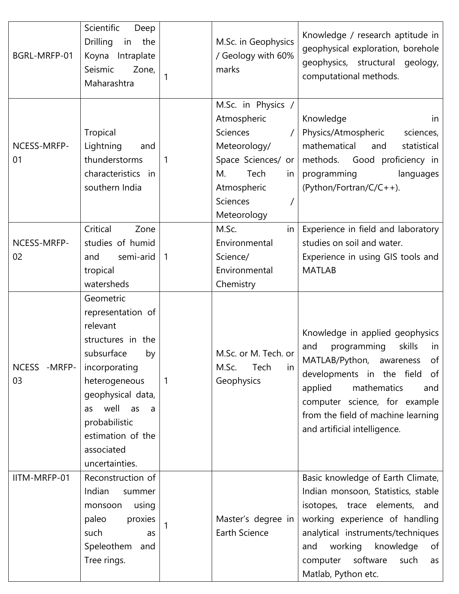| BGRL-MRFP-01        | Scientific<br>Deep<br><b>Drilling</b><br>the<br>in<br>Koyna<br>Intraplate<br>Seismic<br>Zone,<br>Maharashtra                                                                                                                           | $\mathbf{1}$   | M.Sc. in Geophysics<br>/ Geology with 60%<br>marks                                                                                                       | Knowledge / research aptitude in<br>geophysical exploration, borehole<br>geophysics, structural geology,<br>computational methods.                                                                                                                                                |
|---------------------|----------------------------------------------------------------------------------------------------------------------------------------------------------------------------------------------------------------------------------------|----------------|----------------------------------------------------------------------------------------------------------------------------------------------------------|-----------------------------------------------------------------------------------------------------------------------------------------------------------------------------------------------------------------------------------------------------------------------------------|
| NCESS-MRFP-<br>01   | Tropical<br>Lightning<br>and<br>thunderstorms<br>characteristics<br>in<br>southern India                                                                                                                                               | 1              | M.Sc. in Physics /<br>Atmospheric<br><b>Sciences</b><br>Meteorology/<br>Space Sciences/ or<br>Tech<br>М.<br>in<br>Atmospheric<br>Sciences<br>Meteorology | Knowledge<br>in<br>Physics/Atmospheric<br>sciences,<br>mathematical<br>statistical<br>and<br>methods. Good proficiency in<br>programming<br>languages<br>(Python/Fortran/C/C++).                                                                                                  |
| NCESS-MRFP-<br>02   | Critical<br>Zone<br>studies of humid<br>semi-arid<br>and<br>tropical<br>watersheds                                                                                                                                                     | $\overline{1}$ | M.Sc.<br>in<br>Environmental<br>Science/<br>Environmental<br>Chemistry                                                                                   | Experience in field and laboratory<br>studies on soil and water.<br>Experience in using GIS tools and<br><b>MATLAB</b>                                                                                                                                                            |
| NCESS - MRFP-<br>03 | Geometric<br>representation of<br>relevant<br>structures in the<br>subsurface<br>by<br>incorporating<br>heterogeneous<br>geophysical data,<br>well as<br>as<br>a<br>probabilistic<br>estimation of the<br>associated<br>uncertainties. | $\mathbf{1}$   | M.Sc. or M. Tech. or<br>M.Sc.<br>Tech<br>in<br>Geophysics                                                                                                | Knowledge in applied geophysics<br>and<br>programming<br>skills<br>in<br>MATLAB/Python, awareness<br>of l<br>developments in the field of<br>applied<br>mathematics<br>and<br>computer science, for example<br>from the field of machine learning<br>and artificial intelligence. |
| IITM-MRFP-01        | Reconstruction of<br>Indian<br>summer<br>monsoon<br>using<br>paleo<br>proxies<br>such<br>as<br>Speleothem<br>and<br>Tree rings.                                                                                                        |                | Master's degree in<br>Earth Science                                                                                                                      | Basic knowledge of Earth Climate,<br>Indian monsoon, Statistics, stable<br>isotopes, trace elements, and<br>working experience of handling<br>analytical instruments/techniques<br>working<br>knowledge<br>of<br>and<br>software<br>computer<br>such<br>as<br>Matlab, Python etc. |